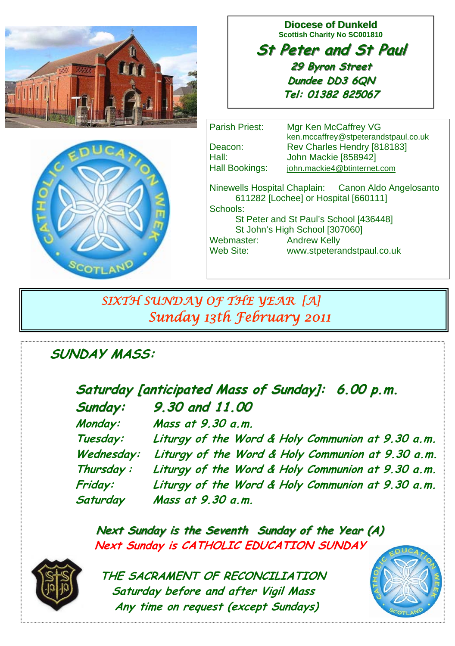

**Diocese of Dunkeld Scottish Charity No SC001810** 

**St Peter and St Paul St Peter and St Paul 29 Byron Street 29 Byron Street Dundee DD3 6QN Tel: 01382 825067**



Parish Priest: Mgr Ken McCaffrey VG ken.mccaffrey@stpeterandstpaul.co.uk Deacon: Rev Charles Hendry [818183] Hall: John Mackie [858942] Hall Bookings: iohn.mackie4@btinternet.com Ninewells Hospital Chaplain: Canon Aldo Angelosanto 611282 [Lochee] or Hospital [660111] Schools: St Peter and St Paul's School [436448] St John's High School [307060] Webmaster: Andrew Kelly Web Site: www.stpeterandstpaul.co.uk

# *SIXTH SUNDAY OF THE YEAR [A] Sunday 13th February 2011*

# **SUNDAY MASS:**

| Saturday [anticipated Mass of Sunday]: 6.00 p.m. |                                                   |
|--------------------------------------------------|---------------------------------------------------|
| Sunday:                                          | 9.30 and 11.00                                    |
| Monday:                                          | Mass at 9.30 a.m.                                 |
| Tuesday:                                         | Liturgy of the Word & Holy Communion at 9.30 a.m. |
| Wednesday:                                       | Liturgy of the Word & Holy Communion at 9.30 a.m. |
| Thursday:                                        | Liturgy of the Word & Holy Communion at 9.30 a.m. |
| Friday:                                          | Liturgy of the Word & Holy Communion at 9.30 a.m. |
| Saturday                                         | Mass at 9.30 a.m.                                 |

**Next Sunday is the Seventh Sunday of the Year (A) Next Sunday is CATHOLIC EDUCATION SUNDAY** 



 **THE SACRAMENT OF RECONCILIATION Saturday before and after Vigil Mass Any time on request (except Sundays)** 

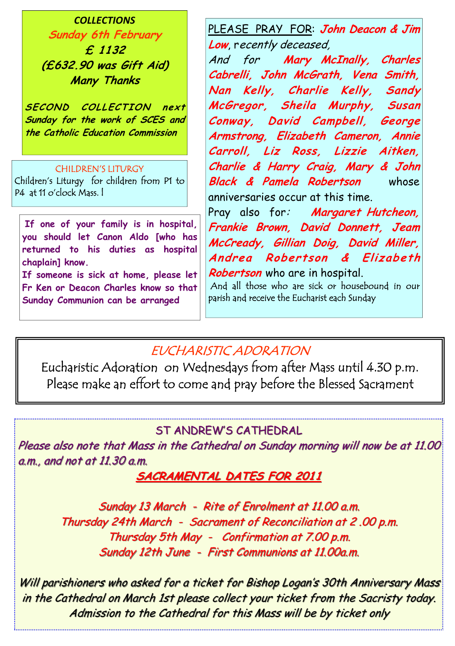*COLLECTIONS* **Sunday 6th February £ 1132 (£632.90 was Gift Aid) Many Thanks** 

**SECOND COLLECTION next Sunday for the work of SCES and the Catholic Education Commission** 

#### CHILDREN'S LITURGY

Children's Liturgy for children from P1 to P4 at 11 o'clock Mass. l

**If one of your family is in hospital, you should let Canon Aldo [who has returned to his duties as hospital chaplain] know.** 

**If someone is sick at home, please let Fr Ken or Deacon Charles know so that Sunday Communion can be arranged**

PLEASE PRAY FOR: **John Deacon & Jim Low**, recently deceased,

And for **Mary McInally, Charles Cabrelli, John McGrath, Vena Smith, Nan Kelly, Charlie Kelly, Sandy McGregor, Sheila Murphy, Susan Conway, David Campbell, George Armstrong, Elizabeth Cameron, Annie Carroll, Liz Ross, Lizzie Aitken, Charlie & Harry Craig, Mary & John Black & Pamela Robertson** whose anniversaries occur at this time.

Pray also for: **Margaret Hutcheon**, **Frankie Brown, David Donnett, Jeam McCready, Gillian Doig, David Miller, Andrea Robertson & Elizabeth Robertson** who are in hospital.

 And all those who are sick or housebound in our parish and receive the Eucharist each Sunday

## EUCHARISTIC ADORATION

Eucharistic Adoration on Wednesdays from after Mass until 4.30 p.m. Please make an effort to come and pray before the Blessed Sacrament

### ST ANDREW'S CATHEDRAL

Please also note that Mass in the Cathedral on Sunday morning will now be at 11.00 a.m., and not at  $11.30$  a.m.

### **SACRAMENTAL DATES FOR 2011**

Sunday 13 March - Rite of Enrolment at 11.00 a.m. Thursday 24th March - Sacrament of Reconciliation at 2.00 p.m. Thursday 5th May - Confirmation at  $7.00$  p.m. Sunday 12th June - First Communions at 11.00a.m.

Will parishioners who asked for a ticket for Bishop Logan's 30th Anniversary Mass in the Cathedral on March 1st please collect your ticket from the Sacristy today. Admission to the Cathedral for this Mass will be by ticket only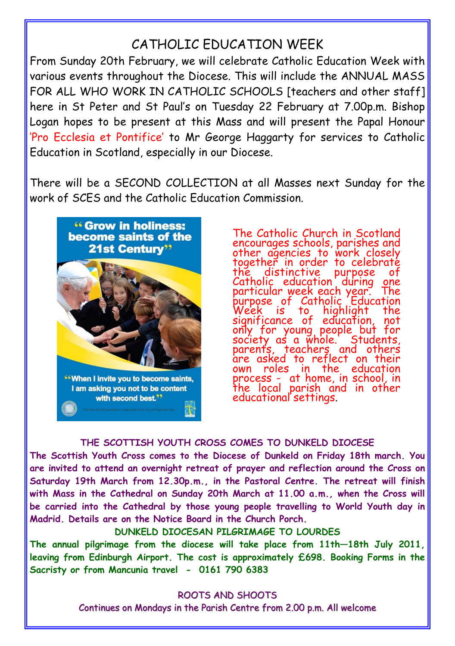## CATHOLIC EDUCATION WEEK

From Sunday 20th February, we will celebrate Catholic Education Week with various events throughout the Diocese. This will include the ANNUAL MASS FOR ALL WHO WORK IN CATHOLIC SCHOOLS Iteachers and other staff] here in St Peter and St Paul's on Tuesday 22 February at 7.00p.m. Bishop Logan hopes to be present at this Mass and will present the Papal Honour 'Pro Ecclesia et Pontifice' to Mr George Haggarty for services to Catholic Education in Scotland, especially in our Diocese.

There will be a SECOND COLLECTION at all Masses next Sunday for the work of SCES and the Catholic Education Commission.



The Catholic Church in Scotland encourages schools, parishes and other agencies to work closely together in order to celebraté the distinctive purpose Catholic education during one<br>particular week each year. The particular week each year. The purpose of Catholic Education purpose of Catholic Education<br>Week is to highlight the significance of education, not only for young people but for society as a whole. Students, parents, teacher<u>s</u> and others are asked to reflect on their own roles in the education process - at home, in school, in<br>the local parish and in other educational settings.

#### **THE SCOTTISH YOUTH CROSS COMES TO DUNKELD DIOCESE**

**The Scottish Youth Cross comes to the Diocese of Dunkeld on Friday 18th march. You are invited to attend an overnight retreat of prayer and reflection around the Cross on Saturday 19th March from 12.30p.m., in the Pastoral Centre. The retreat will finish with Mass in the Cathedral on Sunday 20th March at 11.00 a.m., when the Cross will be carried into the Cathedral by those young people travelling to World Youth day in Madrid. Details are on the Notice Board in the Church Porch.** 

**DUNKELD DIOCESAN PILGRIMAGE TO LOURDES** 

**The annual pilgrimage from the diocese will take place from 11th—18th July 2011, leaving from Edinburgh Airport. The cost is approximately £698. Booking Forms in the Sacristy or from Mancunia travel - 0161 790 6383** 

> ROOTS AND SHOOTS Continues on Mondays in the Parish Centre from 2.00 p.m. All welcome